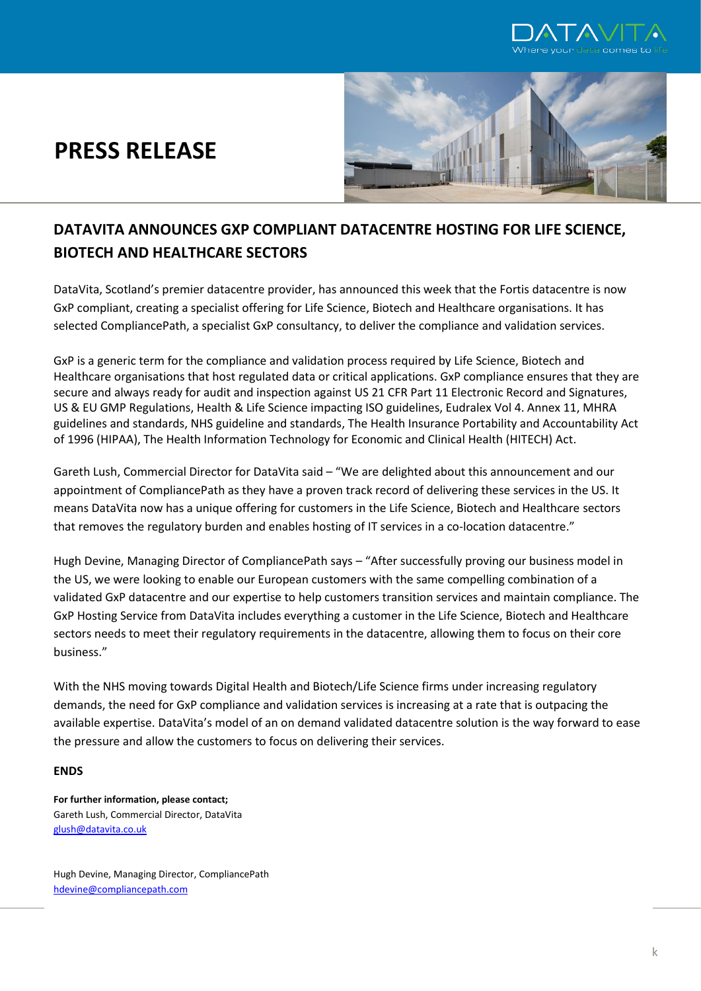

# **PRESS RELEASE**



## **DATAVITA ANNOUNCES GXP COMPLIANT DATACENTRE HOSTING FOR LIFE SCIENCE, BIOTECH AND HEALTHCARE SECTORS**

DataVita, Scotland's premier datacentre provider, has announced this week that the Fortis datacentre is now GxP compliant, creating a specialist offering for Life Science, Biotech and Healthcare organisations. It has selected CompliancePath, a specialist GxP consultancy, to deliver the compliance and validation services.

GxP is a generic term for the compliance and validation process required by Life Science, Biotech and Healthcare organisations that host regulated data or critical applications. GxP compliance ensures that they are secure and always ready for audit and inspection against US 21 CFR Part 11 Electronic Record and Signatures, US & EU GMP Regulations, Health & Life Science impacting ISO guidelines, Eudralex Vol 4. Annex 11, MHRA guidelines and standards, NHS guideline and standards, The Health Insurance Portability and Accountability Act of 1996 (HIPAA), The Health Information Technology for Economic and Clinical Health (HITECH) Act.

Gareth Lush, Commercial Director for DataVita said – "We are delighted about this announcement and our appointment of CompliancePath as they have a proven track record of delivering these services in the US. It means DataVita now has a unique offering for customers in the Life Science, Biotech and Healthcare sectors that removes the regulatory burden and enables hosting of IT services in a co-location datacentre."

Hugh Devine, Managing Director of CompliancePath says – "After successfully proving our business model in the US, we were looking to enable our European customers with the same compelling combination of a validated GxP datacentre and our expertise to help customers transition services and maintain compliance. The GxP Hosting Service from DataVita includes everything a customer in the Life Science, Biotech and Healthcare sectors needs to meet their regulatory requirements in the datacentre, allowing them to focus on their core business."

With the NHS moving towards Digital Health and Biotech/Life Science firms under increasing regulatory demands, the need for GxP compliance and validation services is increasing at a rate that is outpacing the available expertise. DataVita's model of an on demand validated datacentre solution is the way forward to ease the pressure and allow the customers to focus on delivering their services.

#### **ENDS**

**For further information, please contact;** Gareth Lush, Commercial Director, DataVita [glush@datavita.co.uk](mailto:glush@datavita.co.uk)

Hugh Devine, Managing Director, CompliancePath [hdevine@compliancepath.com](mailto:hdevine@compliancepath.co)